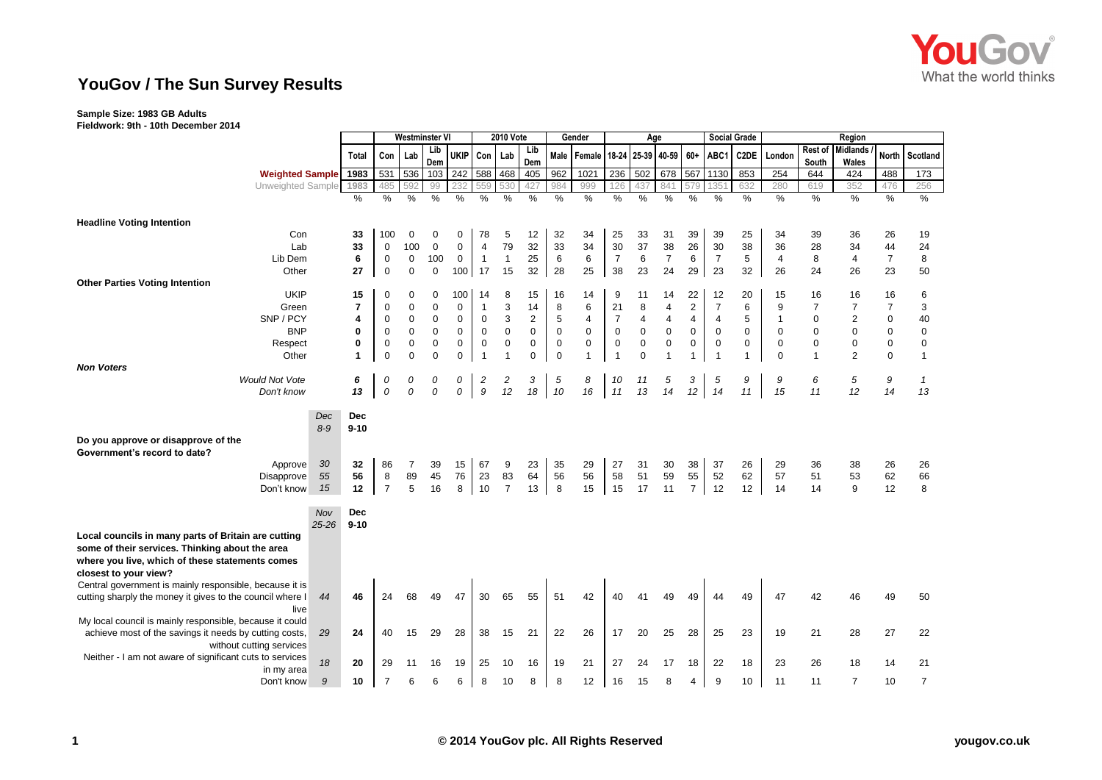

## **YouGov / The Sun Survey Results**

## **Sample Size: 1983 GB Adults**

**Fieldwork: 9th - 10th December 2014**

|                                                           |                        | Westminster VI |                | <b>2010 Vote</b> |                  |             |                    | Gender         | Age            |             |                          |                | <b>Social Grade</b> |                      | <b>Region</b>  |                      |                   |             |                      |                      |                      |                |
|-----------------------------------------------------------|------------------------|----------------|----------------|------------------|------------------|-------------|--------------------|----------------|----------------|-------------|--------------------------|----------------|---------------------|----------------------|----------------|----------------------|-------------------|-------------|----------------------|----------------------|----------------------|----------------|
|                                                           |                        |                |                |                  | Lib              | <b>UKIP</b> | Con                |                | Lib            | Male        | Female 18-24 25-39 40-59 |                |                     |                      | $60+$          | ABC1                 | C <sub>2</sub> DE |             | Rest of              | <b>Midlands</b>      | North                | Scotland       |
|                                                           |                        | Total          | Con            | Lab              | Dem              |             |                    | Lab            | Dem            |             |                          |                |                     |                      |                |                      |                   | London      | South                | Wales                |                      |                |
|                                                           | <b>Weighted Sample</b> | 1983           |                | 531 536          | 103              | 242         | 588                | 468            | 405            | 962         | 1021                     | 236            | 502                 | 678                  | 567            | 1130                 | 853               | 254         | 644                  | 424                  | 488                  | 173            |
| Unweighted Sample                                         |                        | 1983           | 485            | 592              | 99               | 232         | 559                | 530            | 427            | 984         | 999                      | 126            | 437                 | 841                  | 579            | 135                  | 632               | 280         | 619                  | 352                  | 476                  | 256            |
|                                                           |                        | $\%$           | %              | %                | $\%$             | %           | %                  | %              | %              | %           | %                        | %              | $\%$                | $\%$                 | %              | %                    | %                 | %           | %                    | $\%$                 | %                    | $\%$           |
|                                                           |                        |                |                |                  |                  |             |                    |                |                |             |                          |                |                     |                      |                |                      |                   |             |                      |                      |                      |                |
| <b>Headline Voting Intention</b>                          |                        |                |                |                  |                  |             |                    |                |                |             |                          |                |                     |                      |                |                      |                   |             |                      |                      |                      |                |
|                                                           | Con                    | 33             | 100            | $\mathbf 0$      | $\mathbf{0}$     | $\mathbf 0$ | 78                 | 5              | 12             | 32          | 34                       | 25             | 33                  | 31                   | 39             | 39                   | 25                | 34          | 39                   | 36                   | 26                   | 19             |
|                                                           | Lab                    | 33             | 0              | 100              | $\mathbf 0$      | 0           | 4                  | 79             | 32             | 33          | 34                       | 30             | 37                  | 38                   | 26             | 30                   | 38                | 36          | 28                   | 34                   | 44                   | 24             |
| Lib Dem                                                   |                        | 6              | 0              | 0<br>$\mathbf 0$ | 100              | 0           | $\overline{1}$     | $\mathbf{1}$   | 25             | 6           | 6                        | $\overline{7}$ | 6                   | $\overline{7}$       | 6              | $\overline{7}$       | 5                 | 4           | 8                    | 4                    | $\overline{7}$       | 8              |
| Other                                                     |                        | 27             | $\mathbf 0$    |                  | $\mathbf 0$      | 100         | 17                 | 15             | 32             | 28          | 25                       | 38             | 23                  | 24                   | 29             | 23                   | 32                | 26          | 24                   | 26                   | 23                   | 50             |
| <b>Other Parties Voting Intention</b><br><b>UKIP</b>      |                        | 15             |                | $\Omega$         |                  |             |                    |                |                |             |                          |                |                     |                      |                |                      |                   |             |                      |                      |                      | 6              |
| Green                                                     |                        | 7              | 0<br>0         | $\mathsf 0$      | 0<br>$\mathbf 0$ | 100<br>0    | 14<br>$\mathbf{1}$ | 8<br>3         | 15<br>14       | 16<br>8     | 14<br>6                  | 9<br>21        | 11<br>8             | 14<br>$\overline{4}$ | 22<br>2        | 12<br>$\overline{7}$ | 20<br>6           | 15<br>9     | 16<br>$\overline{7}$ | 16<br>$\overline{7}$ | 16<br>$\overline{7}$ | 3              |
| SNP / PCY                                                 |                        | 4              | 0              | $\mathsf 0$      | $\mathbf 0$      | 0           | $\mathsf 0$        | 3              | $\overline{c}$ | 5           | $\overline{4}$           | $\overline{7}$ | 4                   |                      | 4              | $\overline{4}$       | 5                 | -1          | $\mathbf 0$          | $\overline{2}$       | $\mathbf 0$          | 40             |
|                                                           | <b>BNP</b>             | 0              | $\mathsf 0$    | $\pmb{0}$        | $\mathbf 0$      | 0           | $\pmb{0}$          | $\pmb{0}$      | $\pmb{0}$      | $\mathbf 0$ | $\mathbf 0$              | $\mathbf 0$    | 0                   | 4<br>$\mathsf 0$     | $\mathsf 0$    | 0                    | 0                 | $\mathbf 0$ | 0                    | $\Omega$             | $\mathbf 0$          | $\mathbf 0$    |
| Respect                                                   |                        | 0              | $\mathsf 0$    | $\mathsf 0$      | $\pmb{0}$        | 0           | $\mathsf 0$        | $\mathbf 0$    | $\mathsf 0$    | $\mathbf 0$ | $\mathbf 0$              | 0              | 0                   | $\pmb{0}$            | $\mathsf 0$    | $\pmb{0}$            | 0                 | $\mathbf 0$ | $\mathbf 0$          | $\Omega$             | $\mathbf 0$          | $\mathbf 0$    |
| Other                                                     |                        | 1              | $\mathbf 0$    | $\Omega$         | $\mathbf 0$      | 0           | $\overline{1}$     | 1              | $\mathbf 0$    | $\mathbf 0$ | $\mathbf{1}$             | $\overline{1}$ | $\mathbf 0$         | $\overline{1}$       |                | $\overline{1}$       | 1                 | $\mathbf 0$ | $\mathbf{1}$         | $\overline{2}$       | $\mathbf 0$          | $\mathbf{1}$   |
| <b>Non Voters</b>                                         |                        |                |                |                  |                  |             |                    |                |                |             |                          |                |                     |                      |                |                      |                   |             |                      |                      |                      |                |
| <b>Would Not Vote</b>                                     |                        | 6              | 0              | 0                | 0                | 0           | $\overline{c}$     | 2              | 3              | 5           | 8                        | 10             | 11                  | 5                    | 3              | 5                    | 9                 | 9           | 6                    | 5                    | 9                    | $\mathbf{1}$   |
| Don't know                                                |                        | 13             | 0              | 0                | 0                | 0           | 9                  | 12             | 18             | 10          | 16                       | 11             | 13                  | 14                   | 12             | 14                   | 11                | 15          | 11                   | 12                   | 14                   | 13             |
|                                                           |                        |                |                |                  |                  |             |                    |                |                |             |                          |                |                     |                      |                |                      |                   |             |                      |                      |                      |                |
|                                                           | Dec                    | <b>Dec</b>     |                |                  |                  |             |                    |                |                |             |                          |                |                     |                      |                |                      |                   |             |                      |                      |                      |                |
|                                                           | $8 - 9$                | $9 - 10$       |                |                  |                  |             |                    |                |                |             |                          |                |                     |                      |                |                      |                   |             |                      |                      |                      |                |
| Do you approve or disapprove of the                       |                        |                |                |                  |                  |             |                    |                |                |             |                          |                |                     |                      |                |                      |                   |             |                      |                      |                      |                |
| Government's record to date?                              |                        |                |                |                  |                  |             |                    |                |                |             |                          |                |                     |                      |                |                      |                   |             |                      |                      |                      |                |
| Approve                                                   | 30                     | 32             | 86             | 7                | 39               | 15          | 67                 | 9              | 23             | 35          | 29                       | 27             | 31                  | 30                   | 38             | 37                   | 26                | 29          | 36                   | 38                   | 26                   | 26             |
| Disapprove                                                | 55                     | 56             | 8              | 89               | 45               | 76          | 23                 | 83             | 64             | 56          | 56                       | 58             | 51                  | 59                   | 55             | 52                   | 62                | 57          | 51                   | 53                   | 62                   | 66             |
| Don't know                                                | 15                     | 12             | $\overline{7}$ | 5                | 16               | 8           | 10                 | $\overline{7}$ | 13             | 8           | 15                       | 15             | 17                  | 11                   | $\overline{7}$ | 12                   | 12                | 14          | 14                   | 9                    | 12                   | 8              |
|                                                           |                        |                |                |                  |                  |             |                    |                |                |             |                          |                |                     |                      |                |                      |                   |             |                      |                      |                      |                |
|                                                           | <b>Nov</b>             | Dec            |                |                  |                  |             |                    |                |                |             |                          |                |                     |                      |                |                      |                   |             |                      |                      |                      |                |
|                                                           | $25 - 26$              | $9 - 10$       |                |                  |                  |             |                    |                |                |             |                          |                |                     |                      |                |                      |                   |             |                      |                      |                      |                |
| Local councils in many parts of Britain are cutting       |                        |                |                |                  |                  |             |                    |                |                |             |                          |                |                     |                      |                |                      |                   |             |                      |                      |                      |                |
| some of their services. Thinking about the area           |                        |                |                |                  |                  |             |                    |                |                |             |                          |                |                     |                      |                |                      |                   |             |                      |                      |                      |                |
| where you live, which of these statements comes           |                        |                |                |                  |                  |             |                    |                |                |             |                          |                |                     |                      |                |                      |                   |             |                      |                      |                      |                |
| closest to your view?                                     |                        |                |                |                  |                  |             |                    |                |                |             |                          |                |                     |                      |                |                      |                   |             |                      |                      |                      |                |
| Central government is mainly responsible, because it is   |                        |                |                |                  |                  |             |                    |                |                |             |                          |                |                     |                      |                |                      |                   |             |                      |                      |                      |                |
| cutting sharply the money it gives to the council where I | 44                     | 46             | 24             | 68               | 49               | 47          | 30                 | 65             | 55             | 51          | 42                       | 40             | 41                  | 49                   | 49             | 44                   | 49                | 47          | 42                   | 46                   | 49                   | 50             |
|                                                           | live                   |                |                |                  |                  |             |                    |                |                |             |                          |                |                     |                      |                |                      |                   |             |                      |                      |                      |                |
| My local council is mainly responsible, because it could  |                        |                |                |                  |                  |             |                    |                |                |             |                          |                |                     |                      |                |                      |                   |             |                      |                      |                      |                |
| achieve most of the savings it needs by cutting costs,    | 29                     | 24             | 40             | 15               | 29               | 28          | 38                 | 15             | 21             | 22          | 26                       | 17             | 20                  | 25                   | 28             | 25                   | 23                | 19          | 21                   | 28                   | 27                   | 22             |
| without cutting services                                  |                        |                |                |                  |                  |             |                    |                |                |             |                          |                |                     |                      |                |                      |                   |             |                      |                      |                      |                |
| Neither - I am not aware of significant cuts to services  | 18                     | 20             | 29             | 11               | 16               | 19          | 25                 | 10             | 16             | 19          | 21                       | 27             | 24                  | 17                   | 18             | 22                   | 18                | 23          | 26                   | 18                   | 14                   | 21             |
| in my area                                                |                        |                |                |                  |                  |             |                    |                |                |             |                          |                |                     |                      |                |                      |                   |             |                      |                      |                      |                |
| Don't know                                                | 9                      | 10             | $\overline{7}$ | 6                | 6                | 6           | 8                  | 10             | 8              | 8           | 12                       | 16             | 15                  | 8                    | 4              | 9                    | 10                | 11          | 11                   | 7                    | 10                   | $\overline{7}$ |